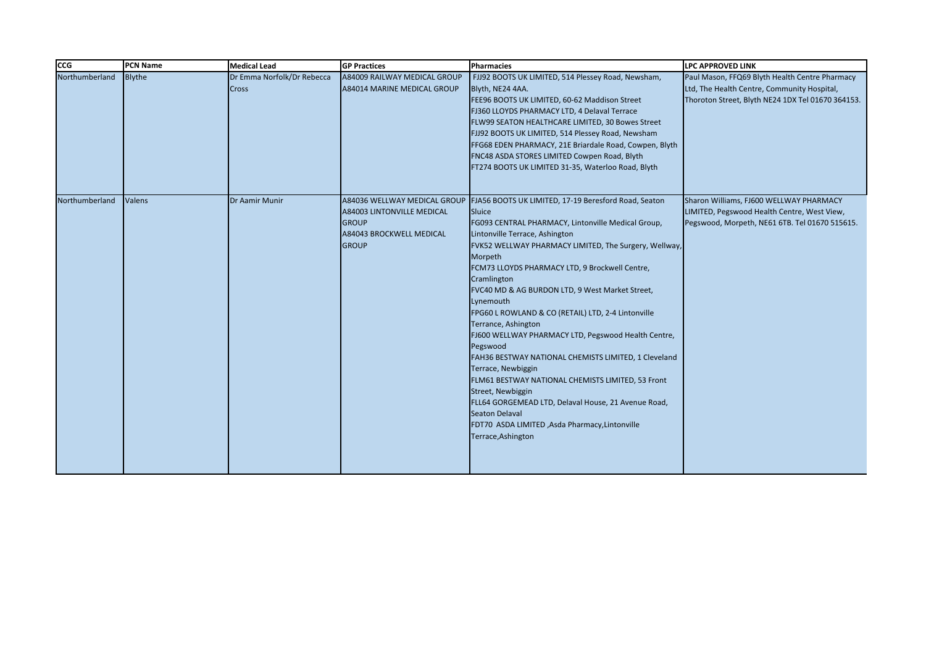| <b>CCG</b>     | <b>PCN Name</b> | <b>Medical Lead</b>                        | <b>GP Practices</b>                                                                                                           | Pharmacies                                                                                                                                                                                                                                                                                                                                                                                                                                                                                                                                                                                                                                                                                                                                                                                                                  | <b>LPC APPROVED LINK</b>                                                                                                                           |
|----------------|-----------------|--------------------------------------------|-------------------------------------------------------------------------------------------------------------------------------|-----------------------------------------------------------------------------------------------------------------------------------------------------------------------------------------------------------------------------------------------------------------------------------------------------------------------------------------------------------------------------------------------------------------------------------------------------------------------------------------------------------------------------------------------------------------------------------------------------------------------------------------------------------------------------------------------------------------------------------------------------------------------------------------------------------------------------|----------------------------------------------------------------------------------------------------------------------------------------------------|
| Northumberland | <b>Blythe</b>   | Dr Emma Norfolk/Dr Rebecca<br><b>Cross</b> | A84009 RAILWAY MEDICAL GROUP<br>A84014 MARINE MEDICAL GROUP                                                                   | FJJ92 BOOTS UK LIMITED, 514 Plessey Road, Newsham,<br>Blyth, NE24 4AA.<br>FEE96 BOOTS UK LIMITED, 60-62 Maddison Street<br>FJ360 LLOYDS PHARMACY LTD, 4 Delaval Terrace<br>FLW99 SEATON HEALTHCARE LIMITED, 30 Bowes Street<br>FJJ92 BOOTS UK LIMITED, 514 Plessey Road, Newsham<br>FFG68 EDEN PHARMACY, 21E Briardale Road, Cowpen, Blyth<br>FNC48 ASDA STORES LIMITED Cowpen Road, Blyth<br>FT274 BOOTS UK LIMITED 31-35, Waterloo Road, Blyth                                                                                                                                                                                                                                                                                                                                                                            | Paul Mason, FFQ69 Blyth Health Centre Pharmacy<br>Ltd, The Health Centre, Community Hospital,<br>Thoroton Street, Blyth NE24 1DX Tel 01670 364153. |
| Northumberland | Valens          | Dr Aamir Munir                             | A84036 WELLWAY MEDICAL GROUP<br><b>A84003 LINTONVILLE MEDICAL</b><br><b>GROUP</b><br>A84043 BROCKWELL MEDICAL<br><b>GROUP</b> | FJA56 BOOTS UK LIMITED, 17-19 Beresford Road, Seaton<br>Sluice<br>FG093 CENTRAL PHARMACY, Lintonville Medical Group,<br>Lintonville Terrace, Ashington<br>FVK52 WELLWAY PHARMACY LIMITED, The Surgery, Wellway,<br>Morpeth<br>FCM73 LLOYDS PHARMACY LTD, 9 Brockwell Centre,<br>Cramlington<br>FVC40 MD & AG BURDON LTD, 9 West Market Street,<br>Lynemouth<br>FPG60 L ROWLAND & CO (RETAIL) LTD, 2-4 Lintonville<br>Terrance, Ashington<br>FJ600 WELLWAY PHARMACY LTD, Pegswood Health Centre,<br>Pegswood<br>FAH36 BESTWAY NATIONAL CHEMISTS LIMITED, 1 Cleveland<br>Terrace, Newbiggin<br>FLM61 BESTWAY NATIONAL CHEMISTS LIMITED, 53 Front<br>Street, Newbiggin<br>FLL64 GORGEMEAD LTD, Delaval House, 21 Avenue Road,<br><b>Seaton Delaval</b><br>FDT70 ASDA LIMITED, Asda Pharmacy, Lintonville<br>Terrace, Ashington | Sharon Williams, FJ600 WELLWAY PHARMACY<br>LIMITED, Pegswood Health Centre, West View,<br>Pegswood, Morpeth, NE61 6TB. Tel 01670 515615.           |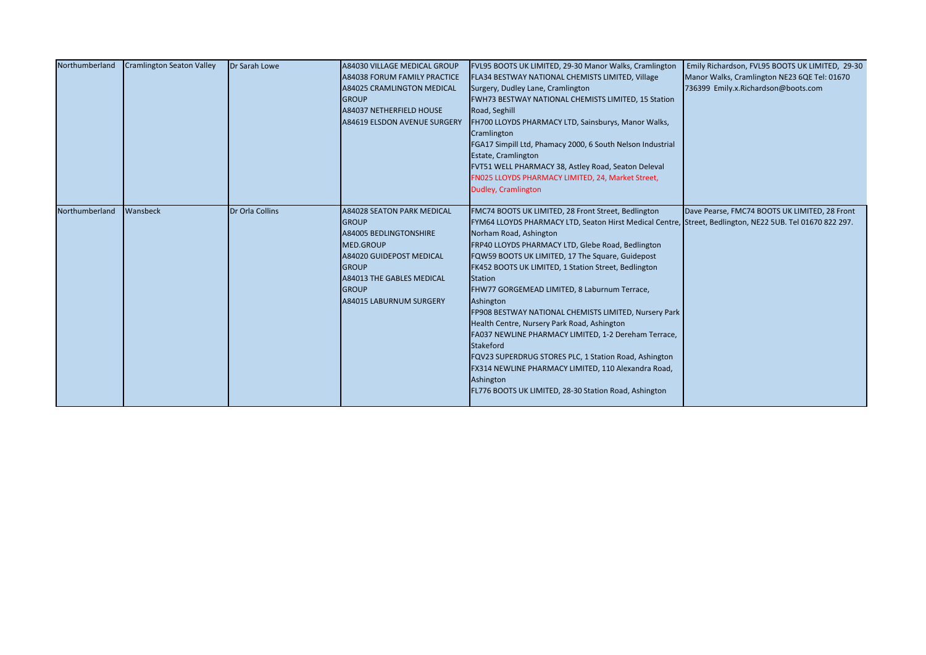| Northumberland | <b>Cramlington Seaton Valley</b> | Dr Sarah Lowe   | A84030 VILLAGE MEDICAL GROUP        | FVL95 BOOTS UK LIMITED, 29-30 Manor Walks, Cramlington                                                   | Emily Richardson, FVL95 BOOTS UK LIMITED, 29-30 |
|----------------|----------------------------------|-----------------|-------------------------------------|----------------------------------------------------------------------------------------------------------|-------------------------------------------------|
|                |                                  |                 | A84038 FORUM FAMILY PRACTICE        | FLA34 BESTWAY NATIONAL CHEMISTS LIMITED, Village                                                         | Manor Walks, Cramlington NE23 6QE Tel: 01670    |
|                |                                  |                 | <b>A84025 CRAMLINGTON MEDICAL</b>   | Surgery, Dudley Lane, Cramlington                                                                        | 736399 Emily.x.Richardson@boots.com             |
|                |                                  |                 | <b>GROUP</b>                        | FWH73 BESTWAY NATIONAL CHEMISTS LIMITED, 15 Station                                                      |                                                 |
|                |                                  |                 | <b>A84037 NETHERFIELD HOUSE</b>     | Road, Seghill                                                                                            |                                                 |
|                |                                  |                 | <b>A84619 ELSDON AVENUE SURGERY</b> | FH700 LLOYDS PHARMACY LTD, Sainsburys, Manor Walks,                                                      |                                                 |
|                |                                  |                 |                                     | Cramlington                                                                                              |                                                 |
|                |                                  |                 |                                     | FGA17 Simpill Ltd, Phamacy 2000, 6 South Nelson Industrial                                               |                                                 |
|                |                                  |                 |                                     | Estate, Cramlington                                                                                      |                                                 |
|                |                                  |                 |                                     | FVT51 WELL PHARMACY 38, Astley Road, Seaton Deleval                                                      |                                                 |
|                |                                  |                 |                                     | FN025 LLOYDS PHARMACY LIMITED, 24, Market Street,                                                        |                                                 |
|                |                                  |                 |                                     | Dudley, Cramlington                                                                                      |                                                 |
|                |                                  |                 |                                     |                                                                                                          |                                                 |
| Northumberland | Wansbeck                         | Dr Orla Collins | <b>A84028 SEATON PARK MEDICAL</b>   | FMC74 BOOTS UK LIMITED, 28 Front Street, Bedlington                                                      | Dave Pearse, FMC74 BOOTS UK LIMITED, 28 Front   |
|                |                                  |                 | <b>GROUP</b>                        | FYM64 LLOYDS PHARMACY LTD, Seaton Hirst Medical Centre, Street, Bedlington, NE22 5UB. Tel 01670 822 297. |                                                 |
|                |                                  |                 | <b>A84005 BEDLINGTONSHIRE</b>       | Norham Road, Ashington                                                                                   |                                                 |
|                |                                  |                 | <b>MED.GROUP</b>                    | FRP40 LLOYDS PHARMACY LTD, Glebe Road, Bedlington                                                        |                                                 |
|                |                                  |                 | A84020 GUIDEPOST MEDICAL            | FQW59 BOOTS UK LIMITED, 17 The Square, Guidepost                                                         |                                                 |
|                |                                  |                 | <b>GROUP</b>                        | FK452 BOOTS UK LIMITED, 1 Station Street, Bedlington                                                     |                                                 |
|                |                                  |                 | <b>A84013 THE GABLES MEDICAL</b>    | <b>Station</b>                                                                                           |                                                 |
|                |                                  |                 | <b>GROUP</b>                        | FHW77 GORGEMEAD LIMITED, 8 Laburnum Terrace,                                                             |                                                 |
|                |                                  |                 | <b>A84015 LABURNUM SURGERY</b>      | Ashington                                                                                                |                                                 |
|                |                                  |                 |                                     | FP908 BESTWAY NATIONAL CHEMISTS LIMITED, Nursery Park                                                    |                                                 |
|                |                                  |                 |                                     | Health Centre, Nursery Park Road, Ashington                                                              |                                                 |
|                |                                  |                 |                                     | FA037 NEWLINE PHARMACY LIMITED, 1-2 Dereham Terrace,                                                     |                                                 |
|                |                                  |                 |                                     | <b>Stakeford</b>                                                                                         |                                                 |
|                |                                  |                 |                                     | FQV23 SUPERDRUG STORES PLC, 1 Station Road, Ashington                                                    |                                                 |
|                |                                  |                 |                                     | FX314 NEWLINE PHARMACY LIMITED, 110 Alexandra Road,                                                      |                                                 |
|                |                                  |                 |                                     | Ashington                                                                                                |                                                 |
|                |                                  |                 |                                     | FL776 BOOTS UK LIMITED, 28-30 Station Road, Ashington                                                    |                                                 |
|                |                                  |                 |                                     |                                                                                                          |                                                 |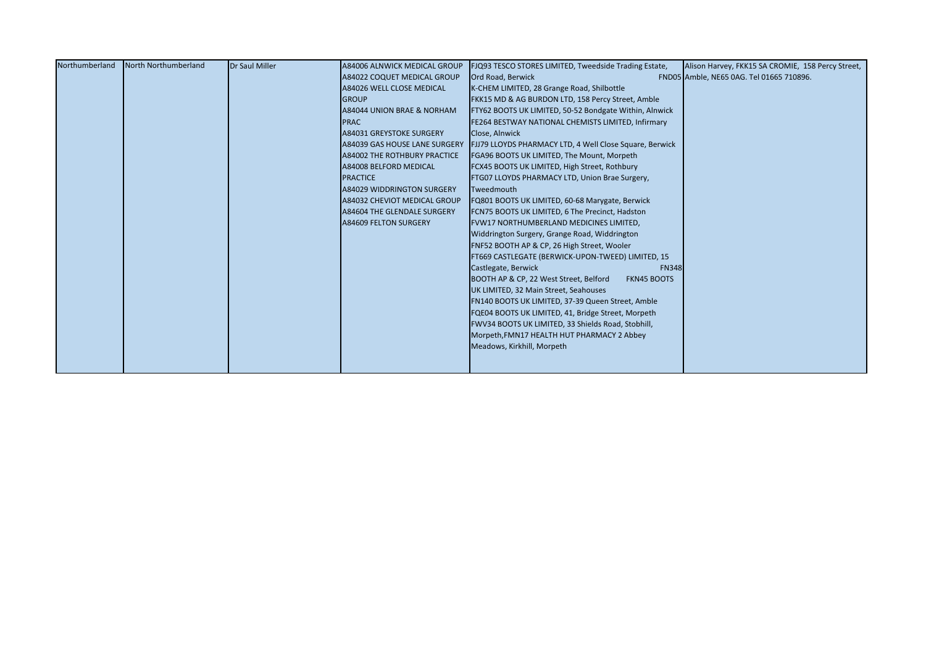| Northumberland | North Northumberland | <b>Dr Saul Miller</b> | A84006 ALNWICK MEDICAL GROUP        | FJQ93 TESCO STORES LIMITED, Tweedside Trading Estate,          | Alison Harvey, FKK15 SA CROMIE, 158 Percy Street, |
|----------------|----------------------|-----------------------|-------------------------------------|----------------------------------------------------------------|---------------------------------------------------|
|                |                      |                       | A84022 COQUET MEDICAL GROUP         | Ord Road, Berwick                                              | FND05 Amble, NE65 0AG. Tel 01665 710896.          |
|                |                      |                       | A84026 WELL CLOSE MEDICAL           | K-CHEM LIMITED, 28 Grange Road, Shilbottle                     |                                                   |
|                |                      |                       | <b>GROUP</b>                        | FKK15 MD & AG BURDON LTD, 158 Percy Street, Amble              |                                                   |
|                |                      |                       | A84044 UNION BRAE & NORHAM          | FTY62 BOOTS UK LIMITED, 50-52 Bondgate Within, Alnwick         |                                                   |
|                |                      |                       | <b>PRAC</b>                         | FE264 BESTWAY NATIONAL CHEMISTS LIMITED, Infirmary             |                                                   |
|                |                      |                       | A84031 GREYSTOKE SURGERY            | Close, Alnwick                                                 |                                                   |
|                |                      |                       | A84039 GAS HOUSE LANE SURGERY       | <b>FJJ79 LLOYDS PHARMACY LTD, 4 Well Close Square, Berwick</b> |                                                   |
|                |                      |                       | <b>A84002 THE ROTHBURY PRACTICE</b> | FGA96 BOOTS UK LIMITED, The Mount, Morpeth                     |                                                   |
|                |                      |                       | A84008 BELFORD MEDICAL              | FCX45 BOOTS UK LIMITED, High Street, Rothbury                  |                                                   |
|                |                      |                       | <b>PRACTICE</b>                     | FTG07 LLOYDS PHARMACY LTD, Union Brae Surgery,                 |                                                   |
|                |                      |                       | <b>A84029 WIDDRINGTON SURGERY</b>   | Tweedmouth                                                     |                                                   |
|                |                      |                       | A84032 CHEVIOT MEDICAL GROUP        | FQ801 BOOTS UK LIMITED, 60-68 Marygate, Berwick                |                                                   |
|                |                      |                       | <b>A84604 THE GLENDALE SURGERY</b>  | FCN75 BOOTS UK LIMITED, 6 The Precinct, Hadston                |                                                   |
|                |                      |                       | A84609 FELTON SURGERY               | <b>FVW17 NORTHUMBERLAND MEDICINES LIMITED,</b>                 |                                                   |
|                |                      |                       |                                     | Widdrington Surgery, Grange Road, Widdrington                  |                                                   |
|                |                      |                       |                                     | FNF52 BOOTH AP & CP, 26 High Street, Wooler                    |                                                   |
|                |                      |                       |                                     | FT669 CASTLEGATE (BERWICK-UPON-TWEED) LIMITED, 15              |                                                   |
|                |                      |                       |                                     | Castlegate, Berwick<br><b>FN348</b>                            |                                                   |
|                |                      |                       |                                     | BOOTH AP & CP, 22 West Street, Belford<br><b>FKN45 BOOTS</b>   |                                                   |
|                |                      |                       |                                     | UK LIMITED, 32 Main Street, Seahouses                          |                                                   |
|                |                      |                       |                                     | FN140 BOOTS UK LIMITED, 37-39 Queen Street, Amble              |                                                   |
|                |                      |                       |                                     | FQE04 BOOTS UK LIMITED, 41, Bridge Street, Morpeth             |                                                   |
|                |                      |                       |                                     | FWV34 BOOTS UK LIMITED, 33 Shields Road, Stobhill,             |                                                   |
|                |                      |                       |                                     | Morpeth, FMN17 HEALTH HUT PHARMACY 2 Abbey                     |                                                   |
|                |                      |                       |                                     | Meadows, Kirkhill, Morpeth                                     |                                                   |
|                |                      |                       |                                     |                                                                |                                                   |
|                |                      |                       |                                     |                                                                |                                                   |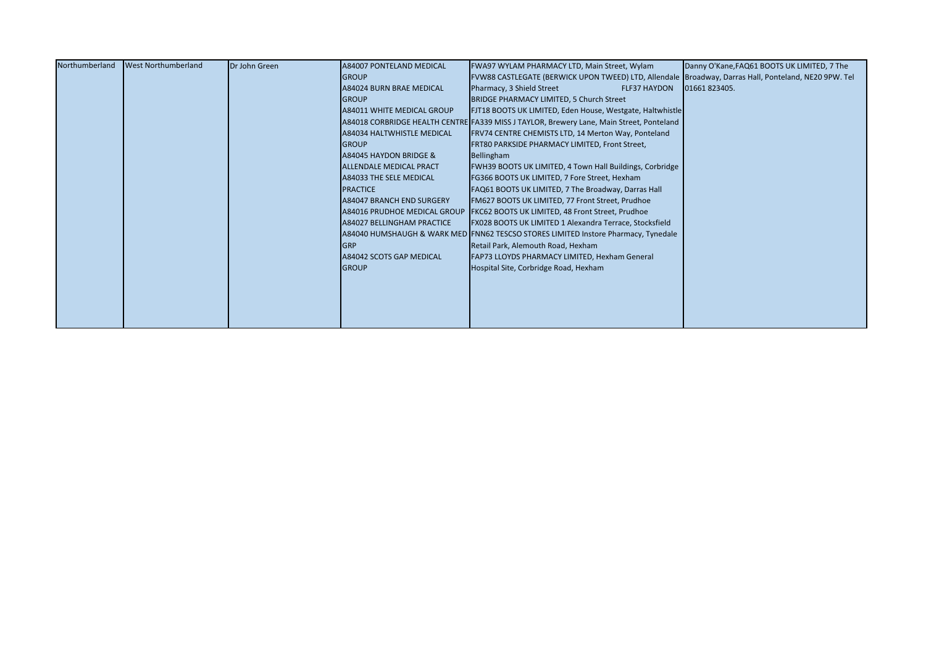| Northumberland | <b>West Northumberland</b> | Dr John Green | <b>A84007 PONTELAND MEDICAL</b>   | FWA97 WYLAM PHARMACY LTD, Main Street, Wylam                                                         | Danny O'Kane, FAQ61 BOOTS UK LIMITED, 7 The |
|----------------|----------------------------|---------------|-----------------------------------|------------------------------------------------------------------------------------------------------|---------------------------------------------|
|                |                            |               | <b>GROUP</b>                      | FVW88 CASTLEGATE (BERWICK UPON TWEED) LTD, Allendale Broadway, Darras Hall, Ponteland, NE20 9PW. Tel |                                             |
|                |                            |               | A84024 BURN BRAE MEDICAL          | Pharmacy, 3 Shield Street<br><b>FLF37 HAYDON</b>                                                     | 01661823405.                                |
|                |                            |               | <b>GROUP</b>                      | <b>BRIDGE PHARMACY LIMITED, 5 Church Street</b>                                                      |                                             |
|                |                            |               | <b>A84011 WHITE MEDICAL GROUP</b> | FJT18 BOOTS UK LIMITED, Eden House, Westgate, Haltwhistle                                            |                                             |
|                |                            |               |                                   | A84018 CORBRIDGE HEALTH CENTRE FA339 MISS J TAYLOR, Brewery Lane, Main Street, Ponteland             |                                             |
|                |                            |               | A84034 HALTWHISTLE MEDICAL        | FRV74 CENTRE CHEMISTS LTD, 14 Merton Way, Ponteland                                                  |                                             |
|                |                            |               | <b>GROUP</b>                      | FRT80 PARKSIDE PHARMACY LIMITED, Front Street,                                                       |                                             |
|                |                            |               | A84045 HAYDON BRIDGE &            | Bellingham                                                                                           |                                             |
|                |                            |               | <b>ALLENDALE MEDICAL PRACT</b>    | FWH39 BOOTS UK LIMITED, 4 Town Hall Buildings, Corbridge                                             |                                             |
|                |                            |               | <b>A84033 THE SELE MEDICAL</b>    | FG366 BOOTS UK LIMITED, 7 Fore Street, Hexham                                                        |                                             |
|                |                            |               | <b>PRACTICE</b>                   | FAQ61 BOOTS UK LIMITED, 7 The Broadway, Darras Hall                                                  |                                             |
|                |                            |               | <b>A84047 BRANCH END SURGERY</b>  | FM627 BOOTS UK LIMITED, 77 Front Street, Prudhoe                                                     |                                             |
|                |                            |               |                                   | A84016 PRUDHOE MEDICAL GROUP FKC62 BOOTS UK LIMITED, 48 Front Street, Prudhoe                        |                                             |
|                |                            |               | <b>A84027 BELLINGHAM PRACTICE</b> | FX028 BOOTS UK LIMITED 1 Alexandra Terrace, Stocksfield                                              |                                             |
|                |                            |               |                                   | A84040 HUMSHAUGH & WARK MED FNN62 TESCSO STORES LIMITED Instore Pharmacy, Tynedale                   |                                             |
|                |                            |               | <b>GRP</b>                        | Retail Park, Alemouth Road, Hexham                                                                   |                                             |
|                |                            |               | A84042 SCOTS GAP MEDICAL          | FAP73 LLOYDS PHARMACY LIMITED, Hexham General                                                        |                                             |
|                |                            |               | <b>GROUP</b>                      | Hospital Site, Corbridge Road, Hexham                                                                |                                             |
|                |                            |               |                                   |                                                                                                      |                                             |
|                |                            |               |                                   |                                                                                                      |                                             |
|                |                            |               |                                   |                                                                                                      |                                             |
|                |                            |               |                                   |                                                                                                      |                                             |
|                |                            |               |                                   |                                                                                                      |                                             |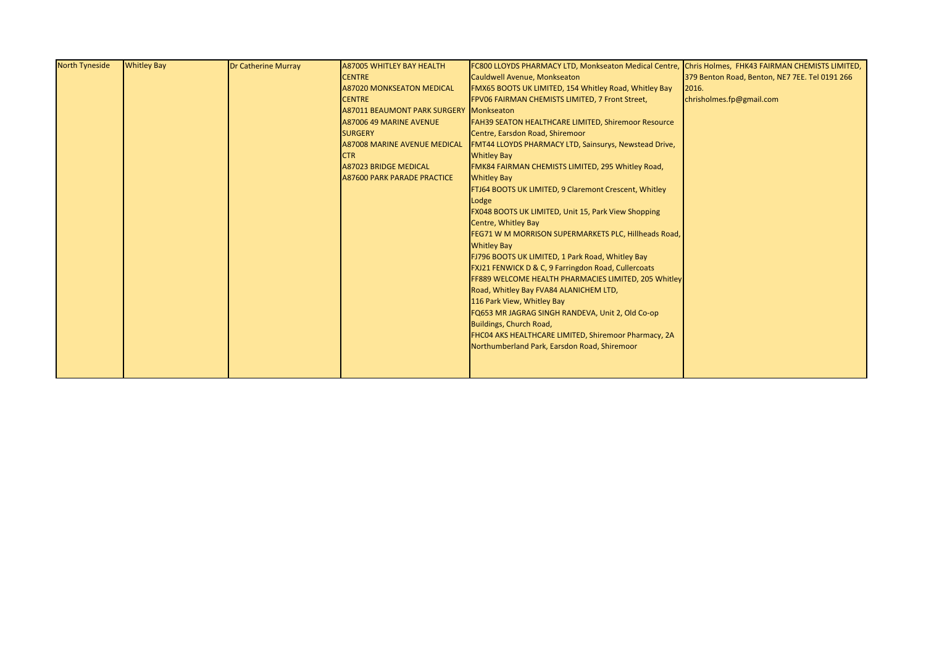| <b>North Tyneside</b> | <b>Whitley Bay</b> | <b>Dr Catherine Murray</b> | <b>A87005 WHITLEY BAY HEALTH</b>        | FC800 LLOYDS PHARMACY LTD, Monkseaton Medical Centre, Chris Holmes, FHK43 FAIRMAN CHEMISTS LIMITED, |                                                |
|-----------------------|--------------------|----------------------------|-----------------------------------------|-----------------------------------------------------------------------------------------------------|------------------------------------------------|
|                       |                    |                            | <b>CENTRE</b>                           | Cauldwell Avenue, Monkseaton                                                                        | 379 Benton Road, Benton, NE7 7EE. Tel 0191 266 |
|                       |                    |                            | <b>A87020 MONKSEATON MEDICAL</b>        | FMX65 BOOTS UK LIMITED, 154 Whitley Road, Whitley Bay                                               | 2016.                                          |
|                       |                    |                            | <b>CENTRE</b>                           | FPV06 FAIRMAN CHEMISTS LIMITED, 7 Front Street,                                                     | chrisholmes.fp@gmail.com                       |
|                       |                    |                            | A87011 BEAUMONT PARK SURGERY Monkseaton |                                                                                                     |                                                |
|                       |                    |                            | A87006 49 MARINE AVENUE                 | <b>FAH39 SEATON HEALTHCARE LIMITED, Shiremoor Resource</b>                                          |                                                |
|                       |                    |                            | <b>SURGERY</b>                          | Centre, Earsdon Road, Shiremoor                                                                     |                                                |
|                       |                    |                            | <b>A87008 MARINE AVENUE MEDICAL</b>     | FMT44 LLOYDS PHARMACY LTD, Sainsurys, Newstead Drive,                                               |                                                |
|                       |                    |                            | <b>CTR</b>                              | <b>Whitley Bay</b>                                                                                  |                                                |
|                       |                    |                            | <b>A87023 BRIDGE MEDICAL</b>            | FMK84 FAIRMAN CHEMISTS LIMITED, 295 Whitley Road,                                                   |                                                |
|                       |                    |                            | <b>A87600 PARK PARADE PRACTICE</b>      | <b>Whitley Bay</b>                                                                                  |                                                |
|                       |                    |                            |                                         | FTJ64 BOOTS UK LIMITED, 9 Claremont Crescent, Whitley                                               |                                                |
|                       |                    |                            |                                         | Lodge                                                                                               |                                                |
|                       |                    |                            |                                         | <b>FX048 BOOTS UK LIMITED, Unit 15, Park View Shopping</b>                                          |                                                |
|                       |                    |                            |                                         | Centre, Whitley Bay                                                                                 |                                                |
|                       |                    |                            |                                         | FEG71 W M MORRISON SUPERMARKETS PLC, Hillheads Road,                                                |                                                |
|                       |                    |                            |                                         | <b>Whitley Bay</b>                                                                                  |                                                |
|                       |                    |                            |                                         | FJ796 BOOTS UK LIMITED, 1 Park Road, Whitley Bay                                                    |                                                |
|                       |                    |                            |                                         | FXJ21 FENWICK D & C, 9 Farringdon Road, Cullercoats                                                 |                                                |
|                       |                    |                            |                                         | FF889 WELCOME HEALTH PHARMACIES LIMITED, 205 Whitley                                                |                                                |
|                       |                    |                            |                                         | Road, Whitley Bay FVA84 ALANICHEM LTD,                                                              |                                                |
|                       |                    |                            |                                         | 116 Park View, Whitley Bay                                                                          |                                                |
|                       |                    |                            |                                         | FQ653 MR JAGRAG SINGH RANDEVA, Unit 2, Old Co-op                                                    |                                                |
|                       |                    |                            |                                         | Buildings, Church Road,                                                                             |                                                |
|                       |                    |                            |                                         | FHC04 AKS HEALTHCARE LIMITED, Shiremoor Pharmacy, 2A                                                |                                                |
|                       |                    |                            |                                         | Northumberland Park, Earsdon Road, Shiremoor                                                        |                                                |
|                       |                    |                            |                                         |                                                                                                     |                                                |
|                       |                    |                            |                                         |                                                                                                     |                                                |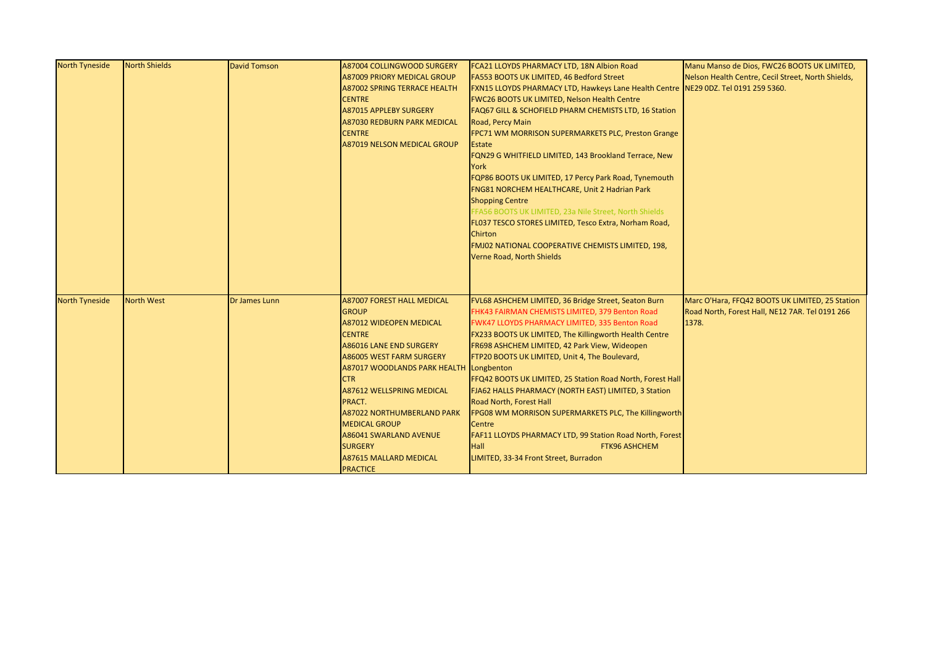| <b>North Tyneside</b> | North Shields     | <b>David Tomson</b> | <b>A87004 COLLINGWOOD SURGERY</b>   | FCA21 LLOYDS PHARMACY LTD, 18N Albion Road                                         | Manu Manso de Dios, FWC26 BOOTS UK LIMITED,        |
|-----------------------|-------------------|---------------------|-------------------------------------|------------------------------------------------------------------------------------|----------------------------------------------------|
|                       |                   |                     | <b>A87009 PRIORY MEDICAL GROUP</b>  | FA553 BOOTS UK LIMITED, 46 Bedford Street                                          | Nelson Health Centre, Cecil Street, North Shields, |
|                       |                   |                     | <b>A87002 SPRING TERRACE HEALTH</b> | FXN15 LLOYDS PHARMACY LTD, Hawkeys Lane Health Centre NE29 0DZ. Tel 0191 259 5360. |                                                    |
|                       |                   |                     | <b>CENTRE</b>                       | FWC26 BOOTS UK LIMITED, Nelson Health Centre                                       |                                                    |
|                       |                   |                     | <b>A87015 APPLEBY SURGERY</b>       | FAQ67 GILL & SCHOFIELD PHARM CHEMISTS LTD, 16 Station                              |                                                    |
|                       |                   |                     | <b>A87030 REDBURN PARK MEDICAL</b>  | Road, Percy Main                                                                   |                                                    |
|                       |                   |                     | <b>CENTRE</b>                       | FPC71 WM MORRISON SUPERMARKETS PLC, Preston Grange                                 |                                                    |
|                       |                   |                     | <b>A87019 NELSON MEDICAL GROUP</b>  | Estate                                                                             |                                                    |
|                       |                   |                     |                                     | FQN29 G WHITFIELD LIMITED, 143 Brookland Terrace, New                              |                                                    |
|                       |                   |                     |                                     | York                                                                               |                                                    |
|                       |                   |                     |                                     | FQP86 BOOTS UK LIMITED, 17 Percy Park Road, Tynemouth                              |                                                    |
|                       |                   |                     |                                     | FNG81 NORCHEM HEALTHCARE, Unit 2 Hadrian Park                                      |                                                    |
|                       |                   |                     |                                     | <b>Shopping Centre</b>                                                             |                                                    |
|                       |                   |                     |                                     | FFA56 BOOTS UK LIMITED, 23a Nile Street, North Shields                             |                                                    |
|                       |                   |                     |                                     | FL037 TESCO STORES LIMITED, Tesco Extra, Norham Road,                              |                                                    |
|                       |                   |                     |                                     | Chirton                                                                            |                                                    |
|                       |                   |                     |                                     | FMJ02 NATIONAL COOPERATIVE CHEMISTS LIMITED, 198,                                  |                                                    |
|                       |                   |                     |                                     | Verne Road, North Shields                                                          |                                                    |
|                       |                   |                     |                                     |                                                                                    |                                                    |
|                       |                   |                     |                                     |                                                                                    |                                                    |
|                       |                   |                     |                                     |                                                                                    |                                                    |
| <b>North Tyneside</b> | <b>North West</b> | Dr James Lunn       | <b>A87007 FOREST HALL MEDICAL</b>   | FVL68 ASHCHEM LIMITED, 36 Bridge Street, Seaton Burn                               | Marc O'Hara, FFQ42 BOOTS UK LIMITED, 25 Station    |
|                       |                   |                     | <b>GROUP</b>                        | FHK43 FAIRMAN CHEMISTS LIMITED, 379 Benton Road                                    | Road North, Forest Hall, NE12 7AR. Tel 0191 266    |
|                       |                   |                     | <b>A87012 WIDEOPEN MEDICAL</b>      | FWK47 LLOYDS PHARMACY LIMITED, 335 Benton Road                                     | 1378.                                              |
|                       |                   |                     | <b>CENTRE</b>                       | FX233 BOOTS UK LIMITED, The Killingworth Health Centre                             |                                                    |
|                       |                   |                     | <b>A86016 LANE END SURGERY</b>      | FR698 ASHCHEM LIMITED, 42 Park View, Wideopen                                      |                                                    |
|                       |                   |                     | A86005 WEST FARM SURGERY            | FTP20 BOOTS UK LIMITED, Unit 4, The Boulevard,                                     |                                                    |
|                       |                   |                     | <b>A87017 WOODLANDS PARK HEALTH</b> | Longbenton                                                                         |                                                    |
|                       |                   |                     | <b>CTR</b>                          | FFQ42 BOOTS UK LIMITED, 25 Station Road North, Forest Hall                         |                                                    |
|                       |                   |                     | <b>A87612 WELLSPRING MEDICAL</b>    | FJA62 HALLS PHARMACY (NORTH EAST) LIMITED, 3 Station                               |                                                    |
|                       |                   |                     | PRACT.                              | Road North, Forest Hall                                                            |                                                    |
|                       |                   |                     | <b>A87022 NORTHUMBERLAND PARK</b>   | FPG08 WM MORRISON SUPERMARKETS PLC, The Killingworth                               |                                                    |
|                       |                   |                     | <b>MEDICAL GROUP</b>                | Centre                                                                             |                                                    |
|                       |                   |                     | <b>A86041 SWARLAND AVENUE</b>       | FAF11 LLOYDS PHARMACY LTD, 99 Station Road North, Forest                           |                                                    |
|                       |                   |                     | <b>SURGERY</b>                      | FTK96 ASHCHEM<br>Hall                                                              |                                                    |
|                       |                   |                     | <b>A87615 MALLARD MEDICAL</b>       | LIMITED, 33-34 Front Street, Burradon                                              |                                                    |
|                       |                   |                     | <b>PRACTICE</b>                     |                                                                                    |                                                    |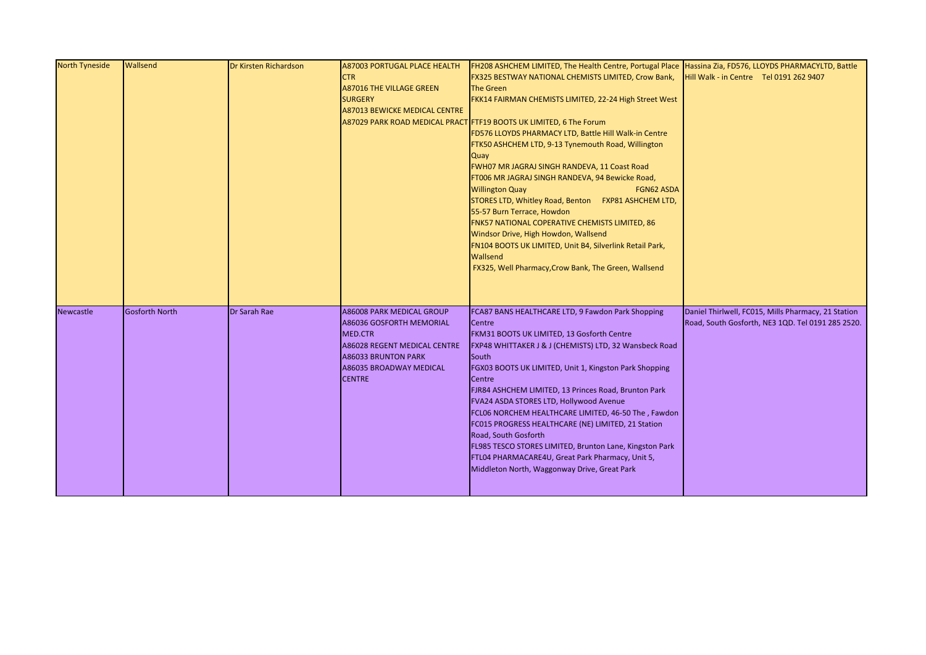| <b>North Tyneside</b> | <b>Wallsend</b>       | Dr Kirsten Richardson | <b>A87003 PORTUGAL PLACE HEALTH</b><br>$\mathsf{CTR}$<br><b>A87016 THE VILLAGE GREEN</b><br><b>SURGERY</b><br><b>A87013 BEWICKE MEDICAL CENTRE</b>                                                     | FH208 ASHCHEM LIMITED, The Health Centre, Portugal Place Hassina Zia, FD576, LLOYDS PHARMACYLTD, Battle<br>FX325 BESTWAY NATIONAL CHEMISTS LIMITED, Crow Bank,<br><b>The Green</b><br>FKK14 FAIRMAN CHEMISTS LIMITED, 22-24 High Street West<br>A87029 PARK ROAD MEDICAL PRACT FTF19 BOOTS UK LIMITED, 6 The Forum<br>FD576 LLOYDS PHARMACY LTD, Battle Hill Walk-in Centre<br>FTK50 ASHCHEM LTD, 9-13 Tynemouth Road, Willington<br>Quay<br>FWH07 MR JAGRAJ SINGH RANDEVA, 11 Coast Road<br>FT006 MR JAGRAJ SINGH RANDEVA, 94 Bewicke Road,<br><b>Willington Quay</b><br><b>FGN62 ASDA</b><br>STORES LTD, Whitley Road, Benton FXP81 ASHCHEM LTD,<br>55-57 Burn Terrace, Howdon<br>FNK57 NATIONAL COPERATIVE CHEMISTS LIMITED, 86<br>Windsor Drive, High Howdon, Wallsend<br>FN104 BOOTS UK LIMITED, Unit B4, Silverlink Retail Park,<br>Wallsend<br>FX325, Well Pharmacy, Crow Bank, The Green, Wallsend | Hill Walk - in Centre Tel 0191 262 9407                                                                  |
|-----------------------|-----------------------|-----------------------|--------------------------------------------------------------------------------------------------------------------------------------------------------------------------------------------------------|------------------------------------------------------------------------------------------------------------------------------------------------------------------------------------------------------------------------------------------------------------------------------------------------------------------------------------------------------------------------------------------------------------------------------------------------------------------------------------------------------------------------------------------------------------------------------------------------------------------------------------------------------------------------------------------------------------------------------------------------------------------------------------------------------------------------------------------------------------------------------------------------------------|----------------------------------------------------------------------------------------------------------|
| <b>Newcastle</b>      | <b>Gosforth North</b> | Dr Sarah Rae          | <b>A86008 PARK MEDICAL GROUP</b><br><b>A86036 GOSFORTH MEMORIAL</b><br><b>MED.CTR</b><br>A86028 REGENT MEDICAL CENTRE<br><b>A86033 BRUNTON PARK</b><br><b>A86035 BROADWAY MEDICAL</b><br><b>CENTRE</b> | FCA87 BANS HEALTHCARE LTD, 9 Fawdon Park Shopping<br>Centre<br>FKM31 BOOTS UK LIMITED, 13 Gosforth Centre<br>FXP48 WHITTAKER J & J (CHEMISTS) LTD, 32 Wansbeck Road<br>South<br>FGX03 BOOTS UK LIMITED, Unit 1, Kingston Park Shopping<br>Centre<br>FJR84 ASHCHEM LIMITED, 13 Princes Road, Brunton Park<br>FVA24 ASDA STORES LTD, Hollywood Avenue<br>FCL06 NORCHEM HEALTHCARE LIMITED, 46-50 The, Fawdon<br>FC015 PROGRESS HEALTHCARE (NE) LIMITED, 21 Station<br>Road, South Gosforth<br>FL985 TESCO STORES LIMITED, Brunton Lane, Kingston Park<br>FTL04 PHARMACARE4U, Great Park Pharmacy, Unit 5,<br>Middleton North, Waggonway Drive, Great Park                                                                                                                                                                                                                                                    | Daniel Thirlwell, FC015, Mills Pharmacy, 21 Station<br>Road, South Gosforth, NE3 1QD. Tel 0191 285 2520. |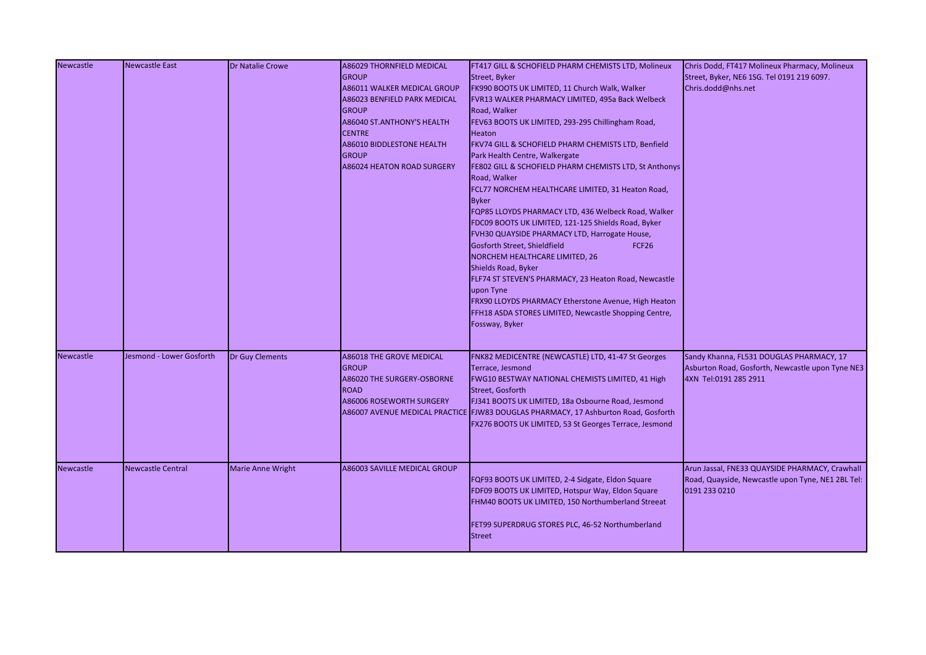| <b>Newcastle</b> | <b>Newcastle East</b>    | <b>Dr Natalie Crowe</b>  | <b>A86029 THORNFIELD MEDICAL</b>                | FT417 GILL & SCHOFIELD PHARM CHEMISTS LTD, Molineux                                | Chris Dodd, FT417 Molineux Pharmacy, Molineux     |
|------------------|--------------------------|--------------------------|-------------------------------------------------|------------------------------------------------------------------------------------|---------------------------------------------------|
|                  |                          |                          | <b>GROUP</b>                                    | Street, Byker                                                                      | Street, Byker, NE6 1SG. Tel 0191 219 6097.        |
|                  |                          |                          | <b>A86011 WALKER MEDICAL GROUP</b>              | FK990 BOOTS UK LIMITED, 11 Church Walk, Walker                                     | Chris.dodd@nhs.net                                |
|                  |                          |                          | <b>A86023 BENFIELD PARK MEDICAL</b>             | FVR13 WALKER PHARMACY LIMITED, 495a Back Welbeck                                   |                                                   |
|                  |                          |                          | <b>GROUP</b>                                    | Road, Walker                                                                       |                                                   |
|                  |                          |                          | A86040 ST.ANTHONY'S HEALTH                      | FEV63 BOOTS UK LIMITED, 293-295 Chillingham Road,                                  |                                                   |
|                  |                          |                          | <b>CENTRE</b>                                   | Heaton                                                                             |                                                   |
|                  |                          |                          | <b>A86010 BIDDLESTONE HEALTH</b>                | FKV74 GILL & SCHOFIELD PHARM CHEMISTS LTD, Benfield                                |                                                   |
|                  |                          |                          | <b>GROUP</b>                                    | Park Health Centre, Walkergate                                                     |                                                   |
|                  |                          |                          | <b>A86024 HEATON ROAD SURGERY</b>               | FE802 GILL & SCHOFIELD PHARM CHEMISTS LTD, St Anthonys                             |                                                   |
|                  |                          |                          |                                                 | Road, Walker                                                                       |                                                   |
|                  |                          |                          |                                                 | FCL77 NORCHEM HEALTHCARE LIMITED, 31 Heaton Road,                                  |                                                   |
|                  |                          |                          |                                                 | <b>Byker</b>                                                                       |                                                   |
|                  |                          |                          |                                                 | FQP85 LLOYDS PHARMACY LTD, 436 Welbeck Road, Walker                                |                                                   |
|                  |                          |                          |                                                 | FDC09 BOOTS UK LIMITED, 121-125 Shields Road, Byker                                |                                                   |
|                  |                          |                          |                                                 | FVH30 QUAYSIDE PHARMACY LTD, Harrogate House,                                      |                                                   |
|                  |                          |                          |                                                 | Gosforth Street, Shieldfield<br>FCF <sub>26</sub>                                  |                                                   |
|                  |                          |                          |                                                 | NORCHEM HEALTHCARE LIMITED, 26                                                     |                                                   |
|                  |                          |                          |                                                 | Shields Road, Byker                                                                |                                                   |
|                  |                          |                          |                                                 | FLF74 ST STEVEN'S PHARMACY, 23 Heaton Road, Newcastle                              |                                                   |
|                  |                          |                          |                                                 | upon Tyne                                                                          |                                                   |
|                  |                          |                          |                                                 | FRX90 LLOYDS PHARMACY Etherstone Avenue, High Heaton                               |                                                   |
|                  |                          |                          |                                                 | FFH18 ASDA STORES LIMITED, Newcastle Shopping Centre,                              |                                                   |
|                  |                          |                          |                                                 | Fossway, Byker                                                                     |                                                   |
| <b>Newcastle</b> | Jesmond - Lower Gosforth | <b>Dr Guy Clements</b>   |                                                 | FNK82 MEDICENTRE (NEWCASTLE) LTD, 41-47 St Georges                                 | Sandy Khanna, FL531 DOUGLAS PHARMACY, 17          |
|                  |                          |                          | <b>A86018 THE GROVE MEDICAL</b><br><b>GROUP</b> | Terrace, Jesmond                                                                   | Asburton Road, Gosforth, Newcastle upon Tyne NE3  |
|                  |                          |                          | A86020 THE SURGERY-OSBORNE                      | FWG10 BESTWAY NATIONAL CHEMISTS LIMITED, 41 High                                   | 4XN Tel:0191 285 2911                             |
|                  |                          |                          | <b>ROAD</b>                                     | Street, Gosforth                                                                   |                                                   |
|                  |                          |                          | <b>A86006 ROSEWORTH SURGERY</b>                 | FJ341 BOOTS UK LIMITED, 18a Osbourne Road, Jesmond                                 |                                                   |
|                  |                          |                          |                                                 | A86007 AVENUE MEDICAL PRACTICE FJW83 DOUGLAS PHARMACY, 17 Ashburton Road, Gosforth |                                                   |
|                  |                          |                          |                                                 | FX276 BOOTS UK LIMITED, 53 St Georges Terrace, Jesmond                             |                                                   |
|                  |                          |                          |                                                 |                                                                                    |                                                   |
|                  |                          |                          |                                                 |                                                                                    |                                                   |
| <b>Newcastle</b> | <b>Newcastle Central</b> | <b>Marie Anne Wright</b> | A86003 SAVILLE MEDICAL GROUP                    |                                                                                    | Arun Jassal, FNE33 QUAYSIDE PHARMACY, Crawhall    |
|                  |                          |                          |                                                 | FQF93 BOOTS UK LIMITED, 2-4 Sidgate, Eldon Square                                  | Road, Quayside, Newcastle upon Tyne, NE1 2BL Tel: |
|                  |                          |                          |                                                 | FDF09 BOOTS UK LIMITED, Hotspur Way, Eldon Square                                  | 0191 233 0210                                     |
|                  |                          |                          |                                                 | FHM40 BOOTS UK LIMITED, 150 Northumberland Streeat                                 |                                                   |
|                  |                          |                          |                                                 | FET99 SUPERDRUG STORES PLC, 46-52 Northumberland                                   |                                                   |
|                  |                          |                          |                                                 | <b>Street</b>                                                                      |                                                   |
|                  |                          |                          |                                                 |                                                                                    |                                                   |